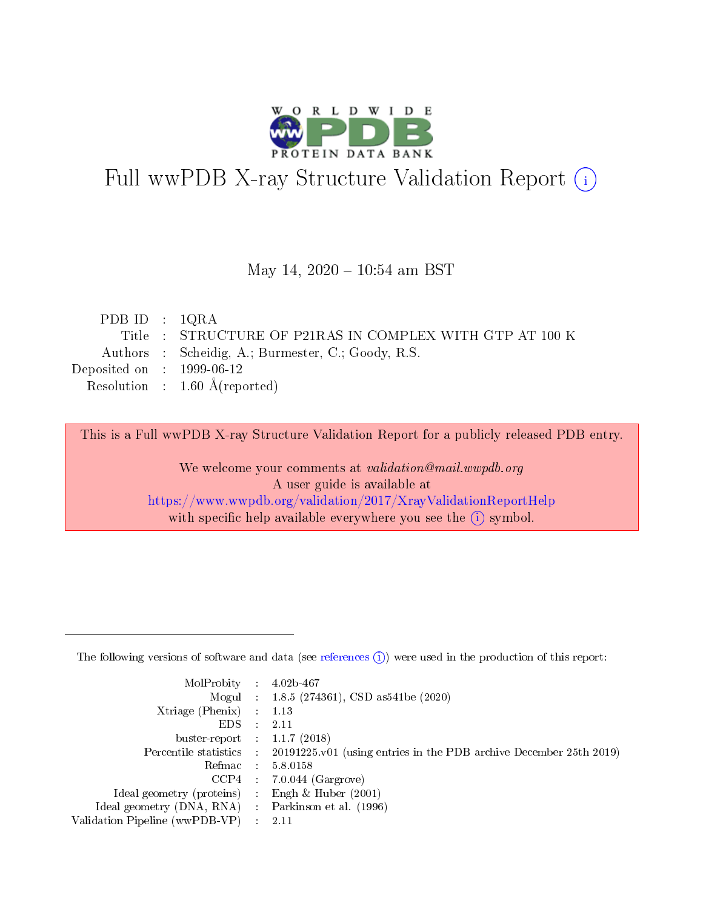

# Full wwPDB X-ray Structure Validation Report (i)

#### May 14,  $2020 - 10:54$  am BST

| PDB ID : $1QRA$             |                                                          |
|-----------------------------|----------------------------------------------------------|
|                             | Title : STRUCTURE OF P21RAS IN COMPLEX WITH GTP AT 100 K |
|                             | Authors : Scheidig, A.; Burmester, C.; Goody, R.S.       |
| Deposited on : $1999-06-12$ |                                                          |
|                             | Resolution : $1.60 \text{ Å}$ (reported)                 |
|                             |                                                          |

This is a Full wwPDB X-ray Structure Validation Report for a publicly released PDB entry.

We welcome your comments at validation@mail.wwpdb.org A user guide is available at <https://www.wwpdb.org/validation/2017/XrayValidationReportHelp> with specific help available everywhere you see the  $(i)$  symbol.

The following versions of software and data (see [references](https://www.wwpdb.org/validation/2017/XrayValidationReportHelp#references)  $(1)$ ) were used in the production of this report:

| $MolProbability$ 4.02b-467                          |               |                                                                                            |
|-----------------------------------------------------|---------------|--------------------------------------------------------------------------------------------|
|                                                     |               | Mogul : 1.8.5 (274361), CSD as 541be (2020)                                                |
| $Xtriangle (Phenix)$ : 1.13                         |               |                                                                                            |
| EDS -                                               | $\mathcal{L}$ | 2.11                                                                                       |
| buster-report : $1.1.7(2018)$                       |               |                                                                                            |
|                                                     |               | Percentile statistics : 20191225.v01 (using entries in the PDB archive December 25th 2019) |
| Refmac $5.8.0158$                                   |               |                                                                                            |
|                                                     |               | $CCP4$ : 7.0.044 (Gargrove)                                                                |
| Ideal geometry (proteins) :                         |               | Engh $\&$ Huber (2001)                                                                     |
| Ideal geometry (DNA, RNA) : Parkinson et al. (1996) |               |                                                                                            |
| Validation Pipeline (wwPDB-VP) : 2.11               |               |                                                                                            |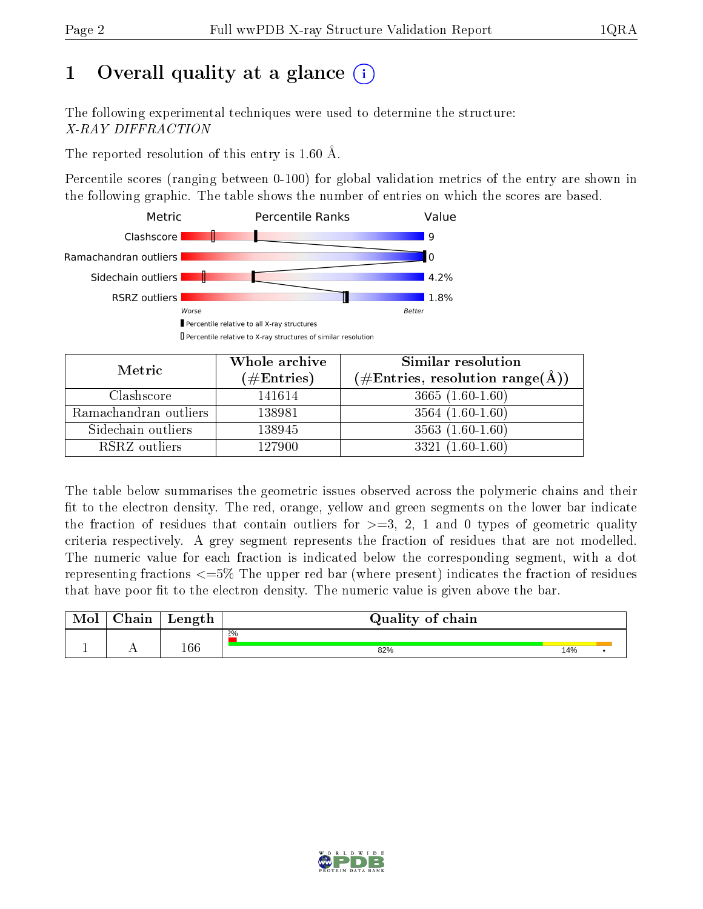# 1 [O](https://www.wwpdb.org/validation/2017/XrayValidationReportHelp#overall_quality)verall quality at a glance  $(i)$

The following experimental techniques were used to determine the structure: X-RAY DIFFRACTION

The reported resolution of this entry is 1.60 Å.

Percentile scores (ranging between 0-100) for global validation metrics of the entry are shown in the following graphic. The table shows the number of entries on which the scores are based.



| Metric                | Whole archive<br>$(\#\text{Entries})$ | Similar resolution<br>$(\#\text{Entries}, \text{resolution range}(\text{\AA}))$ |
|-----------------------|---------------------------------------|---------------------------------------------------------------------------------|
| Clashscore            | 141614                                | $3665(1.60-1.60)$                                                               |
| Ramachandran outliers | 138981                                | $3564(1.60-1.60)$                                                               |
| Sidechain outliers    | 138945                                | $3563(1.60-1.60)$                                                               |
| RSRZ outliers         | 127900                                | $3321(1.60-1.60)$                                                               |

The table below summarises the geometric issues observed across the polymeric chains and their fit to the electron density. The red, orange, yellow and green segments on the lower bar indicate the fraction of residues that contain outliers for  $\geq=3$ , 2, 1 and 0 types of geometric quality criteria respectively. A grey segment represents the fraction of residues that are not modelled. The numeric value for each fraction is indicated below the corresponding segment, with a dot representing fractions  $\epsilon = 5\%$  The upper red bar (where present) indicates the fraction of residues that have poor fit to the electron density. The numeric value is given above the bar.

| Mol | ${\bf Chain}$ | Length  | Quality of chain |     |  |  |  |  |  |
|-----|---------------|---------|------------------|-----|--|--|--|--|--|
|     |               |         | $2\%$            |     |  |  |  |  |  |
|     |               | $166\,$ | 82%              | 14% |  |  |  |  |  |

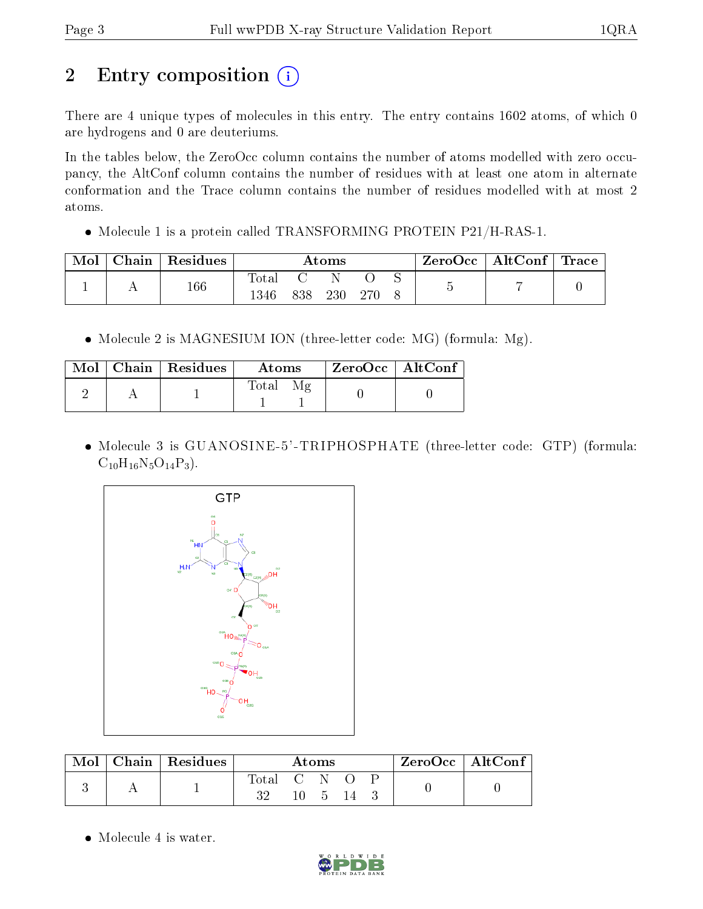# 2 Entry composition (i)

There are 4 unique types of molecules in this entry. The entry contains 1602 atoms, of which 0 are hydrogens and 0 are deuteriums.

In the tables below, the ZeroOcc column contains the number of atoms modelled with zero occupancy, the AltConf column contains the number of residues with at least one atom in alternate conformation and the Trace column contains the number of residues modelled with at most 2 atoms.

Molecule 1 is a protein called TRANSFORMING PROTEIN P21/H-RAS-1.

| Mol | Chain   Residues | Atoms               |     |            | ZeroOcc   AltConf   Trace |  |  |  |
|-----|------------------|---------------------|-----|------------|---------------------------|--|--|--|
|     | 166              | $\rm Total$<br>1346 | 838 | <b>230</b> | 270                       |  |  |  |

• Molecule 2 is MAGNESIUM ION (three-letter code: MG) (formula: Mg).

|  | $Mol$   Chain   Residues | Atoms | $ZeroOcc \   \ AltConf$ |
|--|--------------------------|-------|-------------------------|
|  |                          | Total |                         |

 Molecule 3 is GUANOSINE-5'-TRIPHOSPHATE (three-letter code: GTP) (formula:  $C_{10}H_{16}N_5O_{14}P_3$ .



| Mol | $Chain   Residues$ | Atoms       |  |      |  | $ZeroOcc \mid AltConf \mid$ |  |  |
|-----|--------------------|-------------|--|------|--|-----------------------------|--|--|
|     |                    | Total C N O |  | -514 |  |                             |  |  |
|     |                    |             |  |      |  |                             |  |  |

• Molecule 4 is water.

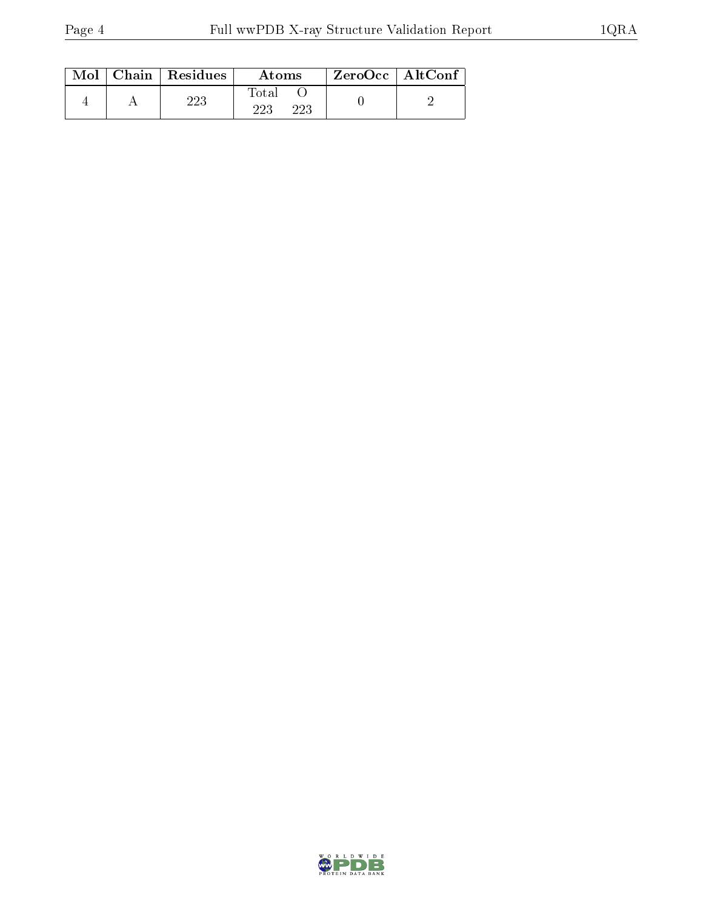|  | $Mol$   Chain   Residues | Atoms               | ZeroOcc   AltConf |  |
|--|--------------------------|---------------------|-------------------|--|
|  | 223                      | Total<br>223<br>223 |                   |  |

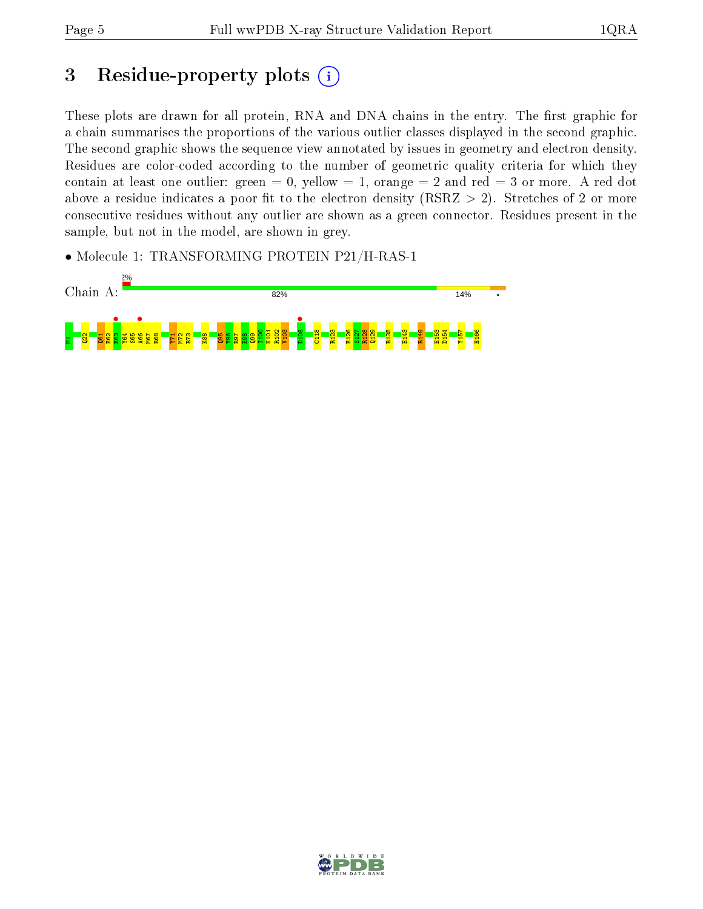# 3 Residue-property plots  $(i)$

These plots are drawn for all protein, RNA and DNA chains in the entry. The first graphic for a chain summarises the proportions of the various outlier classes displayed in the second graphic. The second graphic shows the sequence view annotated by issues in geometry and electron density. Residues are color-coded according to the number of geometric quality criteria for which they contain at least one outlier: green  $= 0$ , yellow  $= 1$ , orange  $= 2$  and red  $= 3$  or more. A red dot above a residue indicates a poor fit to the electron density (RSRZ  $> 2$ ). Stretches of 2 or more consecutive residues without any outlier are shown as a green connector. Residues present in the sample, but not in the model, are shown in grey.

• Molecule 1: TRANSFORMING PROTEIN P21/H-RAS-1



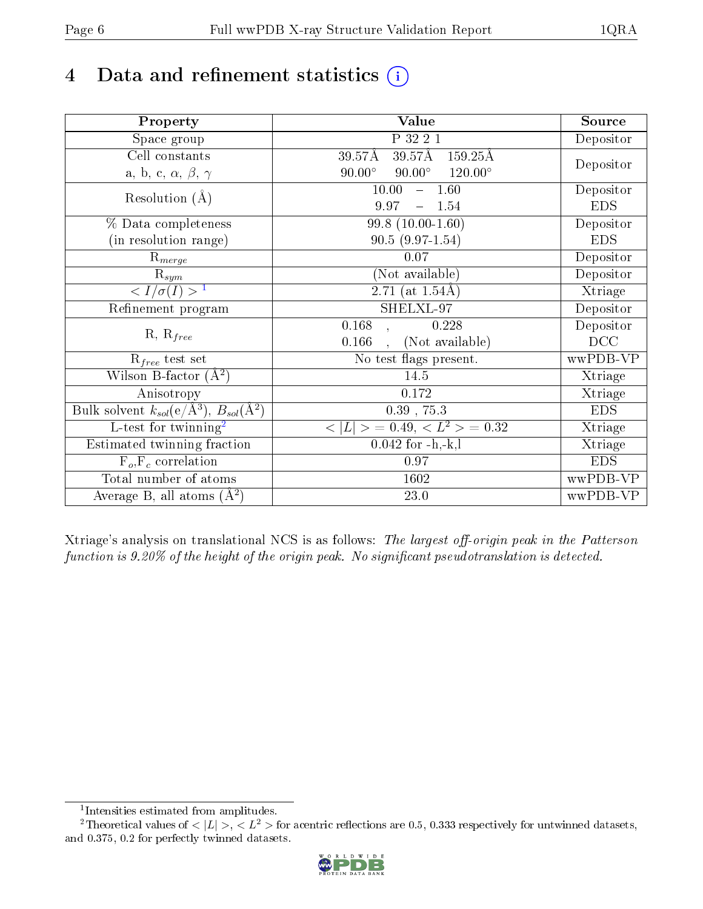# 4 Data and refinement statistics  $(i)$

| Property                                                             | Value                                             | Source     |
|----------------------------------------------------------------------|---------------------------------------------------|------------|
| Space group                                                          | P 32 2 1                                          | Depositor  |
| Cell constants                                                       | $39.57\text{\AA}$<br>$39.57\text{\AA}$<br>159.25Å |            |
| a, b, c, $\alpha$ , $\beta$ , $\gamma$                               | $90.00^\circ$<br>$90.00^\circ$<br>$120.00^\circ$  | Depositor  |
| Resolution $(A)$                                                     | $-1.60$<br>10.00                                  | Depositor  |
|                                                                      | 9.97<br>$-1.54$                                   | <b>EDS</b> |
| % Data completeness                                                  | $99.8(10.00-1.60)$                                | Depositor  |
| (in resolution range)                                                | $90.5(9.97-1.54)$                                 | <b>EDS</b> |
| $R_{merge}$                                                          | 0.07                                              | Depositor  |
| $\mathrm{R}_{sym}$                                                   | (Not available)                                   | Depositor  |
| $\langle I/\sigma(I) \rangle$ <sup>1</sup>                           | 2.71 (at $1.54\text{\AA}$ )                       | Xtriage    |
| Refinement program                                                   | SHELXL-97                                         | Depositor  |
|                                                                      | 0.168<br>0.228                                    | Depositor  |
| $R, R_{free}$                                                        | (Not available)<br>0.166                          | DCC        |
| $R_{free}$ test set                                                  | No test flags present.                            | wwPDB-VP   |
| Wilson B-factor $(A^2)$                                              | 14.5                                              | Xtriage    |
| Anisotropy                                                           | 0.172                                             | Xtriage    |
| Bulk solvent $k_{sol}(e/\mathring{A}^3)$ , $B_{sol}(\mathring{A}^2)$ | $0.39$ , $75.3$                                   | <b>EDS</b> |
| L-test for twinning <sup>2</sup>                                     | $< L >$ = 0.49, $< L2$ = 0.32                     | Xtriage    |
| Estimated twinning fraction                                          | $0.042$ for $-h,-k,l$                             | Xtriage    |
| $F_o, F_c$ correlation                                               | 0.97                                              | <b>EDS</b> |
| Total number of atoms                                                | 1602                                              | wwPDB-VP   |
| Average B, all atoms $(A^2)$                                         | 23.0                                              | wwPDB-VP   |

Xtriage's analysis on translational NCS is as follows: The largest off-origin peak in the Patterson function is  $9.20\%$  of the height of the origin peak. No significant pseudotranslation is detected.

<sup>&</sup>lt;sup>2</sup>Theoretical values of  $\langle |L| \rangle$ ,  $\langle L^2 \rangle$  for acentric reflections are 0.5, 0.333 respectively for untwinned datasets, and 0.375, 0.2 for perfectly twinned datasets.



<span id="page-5-1"></span><span id="page-5-0"></span><sup>1</sup> Intensities estimated from amplitudes.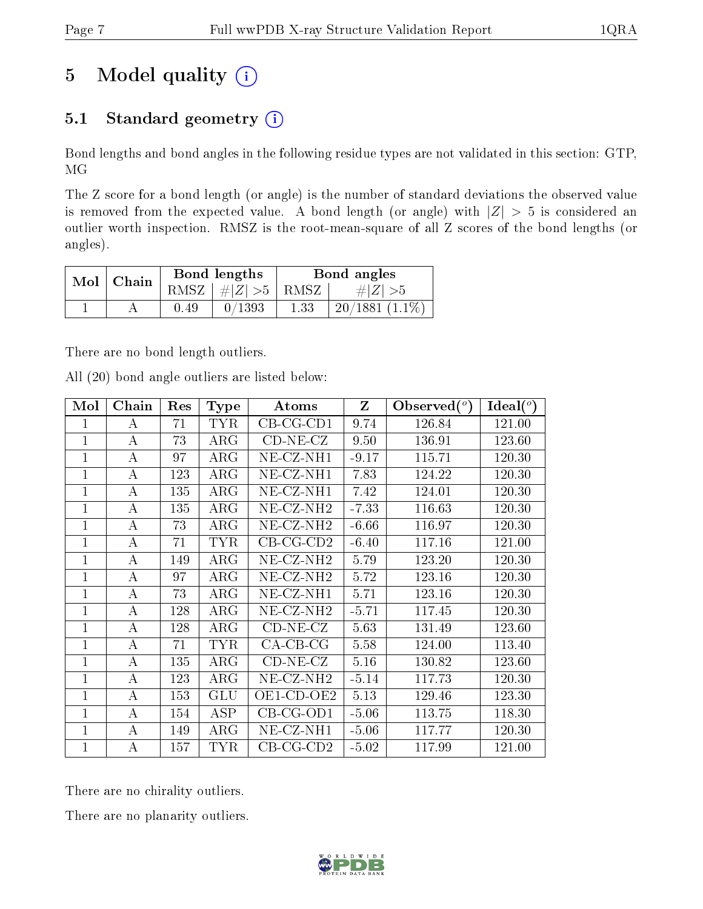# 5 Model quality  $(i)$

## 5.1 Standard geometry  $(i)$

Bond lengths and bond angles in the following residue types are not validated in this section: GTP, MG

The Z score for a bond length (or angle) is the number of standard deviations the observed value is removed from the expected value. A bond length (or angle) with  $|Z| > 5$  is considered an outlier worth inspection. RMSZ is the root-mean-square of all Z scores of the bond lengths (or angles).

| $Mol$   Chain |      | Bond lengths                 |      | Bond angles      |
|---------------|------|------------------------------|------|------------------|
|               |      | RMSZ $\mid \#Z \mid >5$ RMSZ |      | $\# Z  > 5$      |
|               | 0.49 | 0/1393                       | 1.33 | $20/1881(1.1\%)$ |

There are no bond length outliers.

All (20) bond angle outliers are listed below:

| Mol            | Chain | Res | <b>Type</b> | Atoms                 | Z       | Observed $(°)$ | $\text{Ideal}({}^o)$ |
|----------------|-------|-----|-------------|-----------------------|---------|----------------|----------------------|
| 1              | А     | 71  | <b>TYR</b>  | $CB-CG-CD1$           | 9.74    | 126.84         | 121.00               |
| 1              | А     | 73  | ARG         | $CD-NE- CZ$           | 9.50    | 136.91         | 123.60               |
| $\overline{1}$ | А     | 97  | ARG         | NE-CZ-NH1             | $-9.17$ | 115.71         | 120.30               |
| 1              | А     | 123 | $\rm{ARG}$  | $NE-CL-NH1$           | 7.83    | 124.22         | 120.30               |
| $\overline{1}$ | А     | 135 | $\rm{ARG}$  | NE-CZ-NH1             | 7.42    | 124.01         | 120.30               |
| 1              | А     | 135 | ARG         | NE-CZ-NH <sub>2</sub> | $-7.33$ | 116.63         | 120.30               |
| $\overline{1}$ | А     | 73  | $\rm{ARG}$  | NE-CZ-NH <sub>2</sub> | $-6.66$ | 116.97         | 120.30               |
| $\mathbf 1$    | А     | 71  | <b>TYR</b>  | $CB-CG-CD2$           | $-6.40$ | 117.16         | 121.00               |
| $\overline{1}$ | А     | 149 | $\rm{ARG}$  | NE-CZ-NH <sub>2</sub> | 5.79    | 123.20         | 120.30               |
| $\overline{1}$ | A     | 97  | ARG         | NE-CZ-NH <sub>2</sub> | 5.72    | 123.16         | 120.30               |
| $\overline{1}$ | А     | 73  | $\rm{ARG}$  | NE-CZ-NH1             | 5.71    | 123.16         | 120.30               |
| $\overline{1}$ | А     | 128 | ARG         | $NE- CZ-NH2$          | $-5.71$ | 117.45         | 120.30               |
| $\overline{1}$ | А     | 128 | ARG         | $CD-NE- CZ$           | 5.63    | 131.49         | 123.60               |
| 1              | А     | 71  | <b>TYR</b>  | $CA-CB-CG$            | 5.58    | 124.00         | 113.40               |
| 1              | А     | 135 | $\rm{ARG}$  | $CD-NE- CZ$           | 5.16    | 130.82         | 123.60               |
| 1              | А     | 123 | $\rm{ARG}$  | $NE- CZ-NH2$          | $-5.14$ | 117.73         | 120.30               |
| $\mathbf{1}$   | А     | 153 | GLU         | OE1-CD-OE2            | 5.13    | 129.46         | 123.30               |
| 1              | А     | 154 | ASP         | $CB-CG-OD1$           | $-5.06$ | 113.75         | 118.30               |
| $\mathbf{1}$   | А     | 149 | $\rm{ARG}$  | $NE- CZ-NH1$          | $-5.06$ | 117.77         | 120.30               |
| $\mathbf{1}$   | А     | 157 | TYR         | $CB-CG-CD2$           | $-5.02$ | 117.99         | 121.00               |

There are no chirality outliers.

There are no planarity outliers.

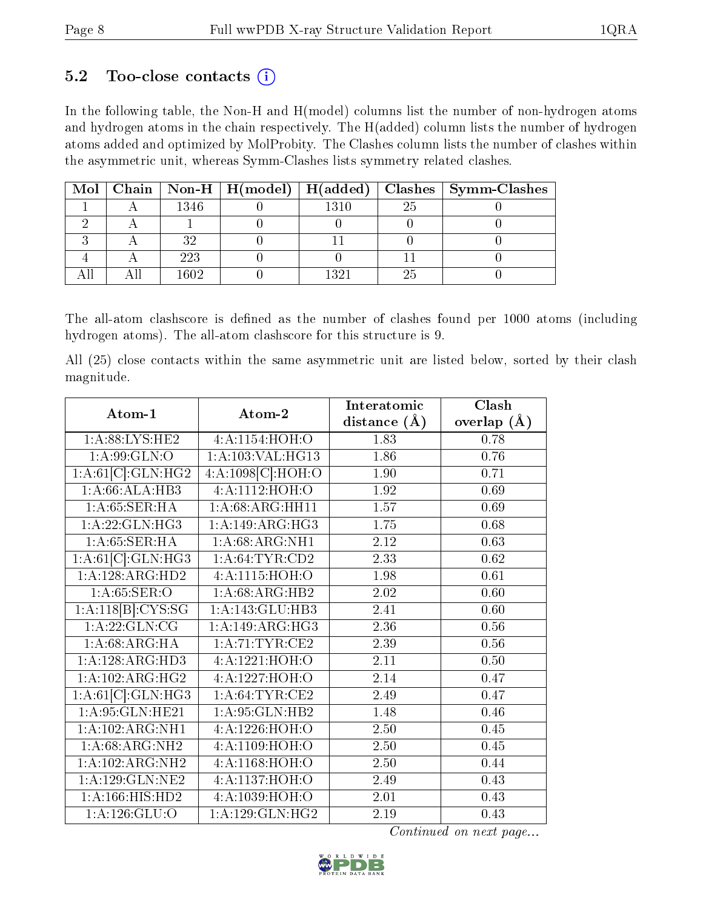### $5.2$  Too-close contacts  $(i)$

In the following table, the Non-H and H(model) columns list the number of non-hydrogen atoms and hydrogen atoms in the chain respectively. The H(added) column lists the number of hydrogen atoms added and optimized by MolProbity. The Clashes column lists the number of clashes within the asymmetric unit, whereas Symm-Clashes lists symmetry related clashes.

|  |      | Mol   Chain   Non-H   $H (model)$   $H (added)$ |      |    | Clashes   Symm-Clashes |
|--|------|-------------------------------------------------|------|----|------------------------|
|  | 1346 |                                                 | 1310 | 25 |                        |
|  |      |                                                 |      |    |                        |
|  | ว ว  |                                                 |      |    |                        |
|  | 223  |                                                 |      |    |                        |
|  | 1602 |                                                 | 1321 |    |                        |

The all-atom clashscore is defined as the number of clashes found per 1000 atoms (including hydrogen atoms). The all-atom clashscore for this structure is 9.

All (25) close contacts within the same asymmetric unit are listed below, sorted by their clash magnitude.

| Atom-1                         | Atom-2              | Interatomic       | Clash           |
|--------------------------------|---------------------|-------------------|-----------------|
|                                |                     | distance $(A)$    | overlap $(\AA)$ |
| 1: A:88: LYS: HE2              | 4: A: 1154: HOH: O  | 1.83              | 0.78            |
| 1: A:99: GLN:O                 | 1:A:103:VAL:HG13    | 1.86              | 0.76            |
| 1:A:61[C]:GLN:HG2              | 4:A:1098[C]:HOH:O   | 1.90              | 0.71            |
| 1: A:66: ALA:HB3               | 4:A:1112:HOH:O      | 1.92              | 0.69            |
| $1:A:65:SER:H\overline{A}$     | 1: A:68: ARG: HH11  | 1.57              | 0.69            |
| 1:A:22:GLN:HG3                 | 1:A:149:ARG:HG3     | 1.75              | 0.68            |
| 1:A:65:SER:HA                  | 1: A:68: ARG: NH1   | 2.12              | 0.63            |
| 1:A:61[C]:GLN:HG3              | 1: A:64:TYR:CD2     | 2.33              | 0.62            |
| 1:A:128:ARG:HD2                | 4:A:1115:HOH:O      | 1.98              | 0.61            |
| 1: A:65: SER:O                 | 1:A:68:ARG:HB2      | 2.02              | 0.60            |
| $1:\overline{A:118[B]:CYS:SG}$ | 1:A:143:GLU:HB3     | 2.41              | 0.60            |
| 1:A:22:GLN:CG                  | 1:A:149:ARG:HG3     | 2.36              | 0.56            |
| 1:A:68:ARG:HA                  | 1: A:71:TYR:CE2     | 2.39              | $0.56\,$        |
| 1:A:128:ARG:HD3                | 4:A:1221:HOH:O      | 2.11              | 0.50            |
| 1:A:102:ARG:HG2                | 4:A:1227:HOH:O      | 2.14              | 0.47            |
| 1:A:61[C]:GLN:HG3              | 1: A:64:TYR:CE2     | 2.49              | 0.47            |
| 1:A:95:GLN:HE21                | 1:A:95:GLN:HB2      | 1.48              | 0.46            |
| 1:A:102:ARG:NH1                | 4: A: 1226: HOH: O  | 2.50              | 0.45            |
| 1:A:68:ARG:NH2                 | 4:A:1109:HOH:O      | 2.50              | 0.45            |
| 1:A:102:ARG:NH2                | 4: A: 1168: HOH: O  | 2.50              | 0.44            |
| 1: A: 129: GLN: NE2            | 4:A:1137:HOH:O      | 2.49              | 0.43            |
| 1: A: 166: HIS: HD2            | 4:A:1039:HOH:O      | 2.01              | 0.43            |
| 1:A:126:GLU:O                  | 1: A: 129: GLN: HG2 | $\overline{2.19}$ | 0.43            |

Continued on next page...

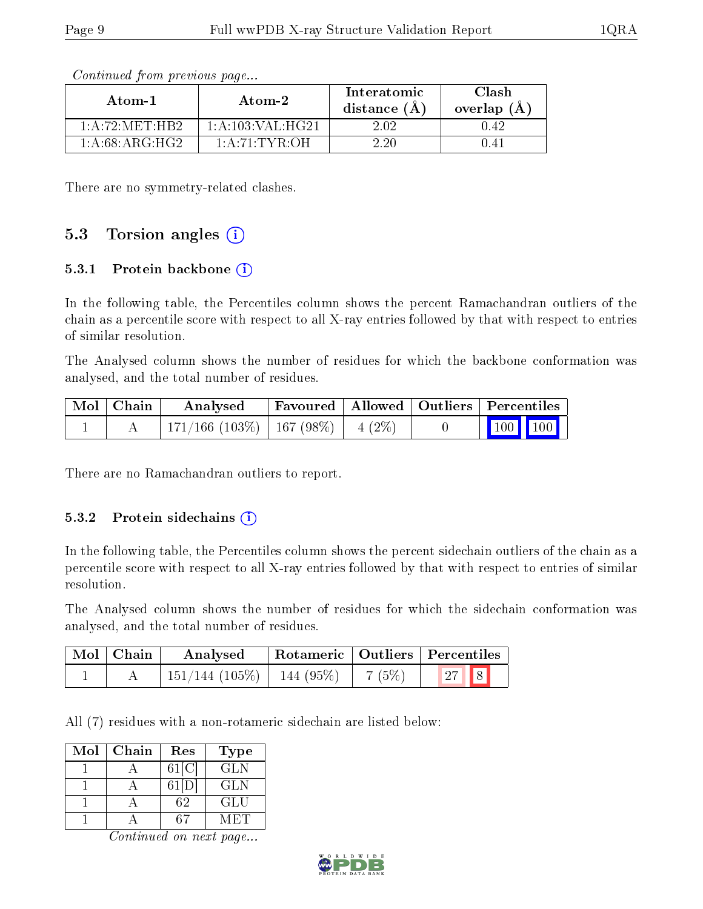| Contractor from brockbase bage<br>Atom-1 | Atom-2               | Interatomic<br>distance $(\AA)$ | Clash<br>overlap $(\AA)$ |
|------------------------------------------|----------------------|---------------------------------|--------------------------|
| 1: A:72: MET:HB2                         | 1: A: 103: VAL: HG21 | 2.02                            | Ո 42                     |
| 1: A:68: ARG: HG2                        | 1: A:71:TYR:OH       | 2 20                            | D 41                     |

Continued from previous page...

There are no symmetry-related clashes.

### 5.3 Torsion angles  $(i)$

#### 5.3.1 Protein backbone  $(i)$

In the following table, the Percentiles column shows the percent Ramachandran outliers of the chain as a percentile score with respect to all X-ray entries followed by that with respect to entries of similar resolution.

The Analysed column shows the number of residues for which the backbone conformation was analysed, and the total number of residues.

| $\mid$ Mol $\mid$ Chain $\mid$ | Analysed                            |  | Favoured   Allowed   Outliers   Percentiles |  |
|--------------------------------|-------------------------------------|--|---------------------------------------------|--|
|                                | 171/166 (103%)   167 (98%)   4 (2%) |  | $\vert$ 100 100 $\vert$                     |  |

There are no Ramachandran outliers to report.

#### 5.3.2 Protein sidechains  $(i)$

In the following table, the Percentiles column shows the percent sidechain outliers of the chain as a percentile score with respect to all X-ray entries followed by that with respect to entries of similar resolution.

The Analysed column shows the number of residues for which the sidechain conformation was analysed, and the total number of residues.

| $Mol$   Chain | Analysed                       |          | Rotameric   Outliers   Percentiles |  |
|---------------|--------------------------------|----------|------------------------------------|--|
|               | $151/144$ (105\%)   144 (95\%) | $7(5\%)$ | $\parallel$ 27 $\parallel$ 8       |  |

All (7) residues with a non-rotameric sidechain are listed below:

| Mol | Chain | Res                | <b>Type</b> |
|-----|-------|--------------------|-------------|
|     |       | $61[{\rm C}]$      | <b>GLN</b>  |
|     |       | $61 \overline{D} $ | <b>GLN</b>  |
|     |       | 62                 | GLU         |
|     |       |                    | VI EN L'    |

Continued on next page...

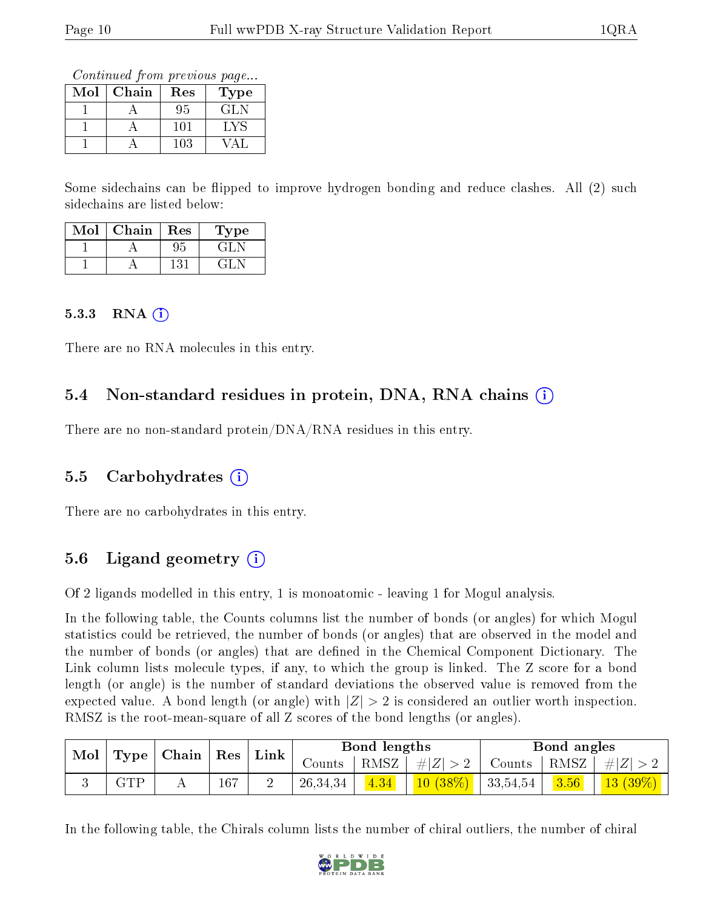Continued from previous page...

| $\operatorname{Mol}$ | Chain | $\operatorname{Res}% \left( \mathcal{N}\right) \equiv\operatorname{Res}(\mathcal{N}_{0})\cap\mathcal{N}_{1}$ | Type       |
|----------------------|-------|--------------------------------------------------------------------------------------------------------------|------------|
|                      |       | 95                                                                                                           | <b>GLN</b> |
|                      |       | 101                                                                                                          | ⊟. V       |
|                      |       | 103                                                                                                          |            |

Some sidechains can be flipped to improve hydrogen bonding and reduce clashes. All (2) such sidechains are listed below:

| Mol | Chain | Res | Type |
|-----|-------|-----|------|
|     |       | 95  | GLN  |
|     |       | 131 | GL N |

#### 5.3.3 RNA  $(i)$

There are no RNA molecules in this entry.

#### 5.4 Non-standard residues in protein, DNA, RNA chains (i)

There are no non-standard protein/DNA/RNA residues in this entry.

#### 5.5 Carbohydrates (i)

There are no carbohydrates in this entry.

#### 5.6 Ligand geometry (i)

Of 2 ligands modelled in this entry, 1 is monoatomic - leaving 1 for Mogul analysis.

In the following table, the Counts columns list the number of bonds (or angles) for which Mogul statistics could be retrieved, the number of bonds (or angles) that are observed in the model and the number of bonds (or angles) that are defined in the Chemical Component Dictionary. The Link column lists molecule types, if any, to which the group is linked. The Z score for a bond length (or angle) is the number of standard deviations the observed value is removed from the expected value. A bond length (or angle) with  $|Z| > 2$  is considered an outlier worth inspection. RMSZ is the root-mean-square of all Z scores of the bond lengths (or angles).

| Mol |            | $\vert$ Type $\vert$ Chain $\vert$ Res $\vert$ Link $\vert$ |     |            | Bond lengths |                 |          | Bond angles |                                 |
|-----|------------|-------------------------------------------------------------|-----|------------|--------------|-----------------|----------|-------------|---------------------------------|
|     |            |                                                             |     | Counts -   | ' RMSZ       | $ $ # $ Z  > 2$ |          |             | Counts   RMSZ $\mid \#  Z  > 2$ |
|     | <b>GTP</b> |                                                             | 167 | 26, 34, 34 | 4.34         | $10(38\%)$      | 33,54,54 | 3.56        | $\mid$ 13 (39%)                 |

In the following table, the Chirals column lists the number of chiral outliers, the number of chiral

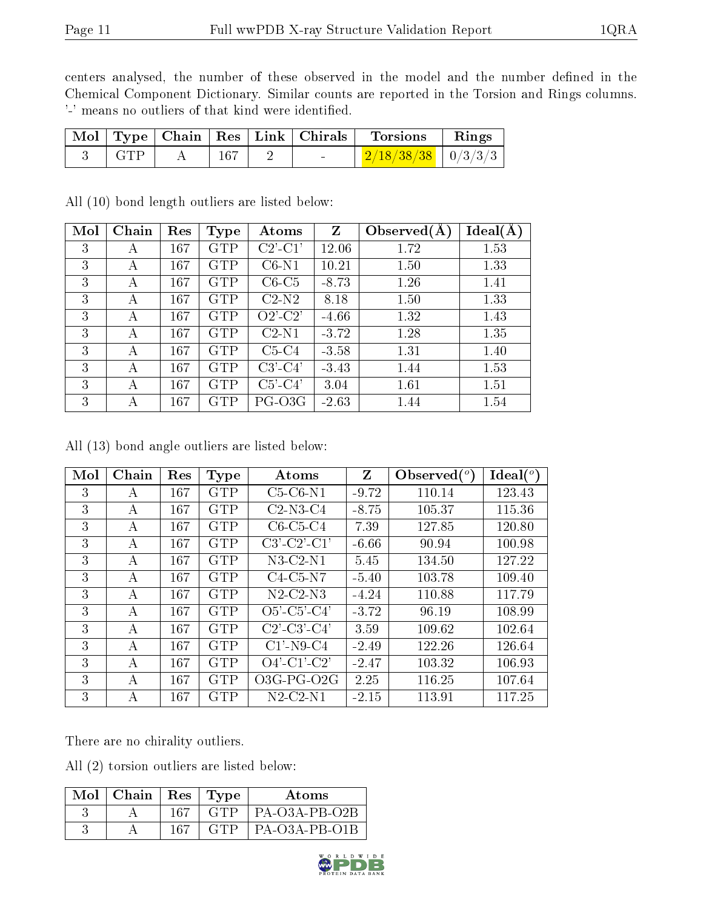centers analysed, the number of these observed in the model and the number defined in the Chemical Component Dictionary. Similar counts are reported in the Torsion and Rings columns. '-' means no outliers of that kind were identified.

|          |  | Mol   Type   Chain   Res   Link   Chirals | Torsions                                   | Rings |
|----------|--|-------------------------------------------|--------------------------------------------|-------|
| - C.T. L |  | $\sim$                                    | $\frac{1}{2}/\frac{2}{18}/38/38$   0/3/3/3 |       |

All (10) bond length outliers are listed below:

| Mol | Chain | Res | <b>Type</b> | Atoms                                 | Z       | Observed $(A)$ | Ideal(A) |
|-----|-------|-----|-------------|---------------------------------------|---------|----------------|----------|
| 3   | А     | 167 | <b>GTP</b>  | $C2$ <sup>'</sup> - $C1$ <sup>'</sup> | 12.06   | 1.72           | 1.53     |
| 3   | А     | 167 | <b>GTP</b>  | $C6-N1$                               | 10.21   | 1.50           | 1.33     |
| 3   | А     | 167 | <b>GTP</b>  | $C6-C5$                               | $-8.73$ | 1.26           | 1.41     |
| 3   | А     | 167 | <b>GTP</b>  | $C2-N2$                               | 8.18    | 1.50           | 1.33     |
| 3   | А     | 167 | <b>GTP</b>  | $O2'$ -C2'                            | $-4.66$ | 1.32           | 1.43     |
| 3   | А     | 167 | <b>GTP</b>  | $C2-N1$                               | $-3.72$ | 1.28           | 1.35     |
| 3   | А     | 167 | <b>GTP</b>  | $C5-C4$                               | $-3.58$ | 1.31           | 1.40     |
| 3   | А     | 167 | <b>GTP</b>  | $C3'-C4'$                             | $-3.43$ | 1.44           | 1.53     |
| 3   | А     | 167 | <b>GTP</b>  | $C5'-C4'$                             | 3.04    | 1.61           | 1.51     |
| 3   | А     | 167 | ${\rm GTP}$ | PG-O3G                                | $-2.63$ | 1.44           | 1.54     |

All (13) bond angle outliers are listed below:

| Mol | Chain | Res | <b>Type</b> | Atoms                       | Z       | Observed $(°)$ | $Ideal(^{\circ})$ |
|-----|-------|-----|-------------|-----------------------------|---------|----------------|-------------------|
| 3   | A     | 167 | <b>GTP</b>  | $C5-C6-N1$                  | $-9.72$ | 110.14         | 123.43            |
| 3   | А     | 167 | <b>GTP</b>  | $C2-N3-C4$                  | $-8.75$ | 105.37         | 115.36            |
| 3   | А     | 167 | <b>GTP</b>  | $C6-C5-C4$                  | 7.39    | 127.85         | 120.80            |
| 3   | А     | 167 | <b>GTP</b>  | $C3'-C2'-C1'$               | $-6.66$ | 90.94          | 100.98            |
| 3   | А     | 167 | <b>GTP</b>  | $N3-C2-N1$                  | 5.45    | 134.50         | 127.22            |
| 3   | А     | 167 | <b>GTP</b>  | $C4-C5-N7$                  | $-5.40$ | 103.78         | 109.40            |
| 3   | А     | 167 | <b>GTP</b>  | $N2$ -C <sub>2</sub> - $N3$ | $-4.24$ | 110.88         | 117.79            |
| 3   | А     | 167 | <b>GTP</b>  | $O5'$ -C5'-C4'              | $-3.72$ | 96.19          | 108.99            |
| 3   | А     | 167 | <b>GTP</b>  | $C2'$ - $C3'$ - $C4'$       | 3.59    | 109.62         | 102.64            |
| 3   | A     | 167 | <b>GTP</b>  | $C1'$ -N9-C4                | $-2.49$ | 122.26         | 126.64            |
| 3   | А     | 167 | <b>GTP</b>  | $O4'$ -C1'-C2'              | $-2.47$ | 103.32         | 106.93            |
| 3   | А     | 167 | <b>GTP</b>  | O3G-PG-O2G                  | 2.25    | 116.25         | 107.64            |
| 3   | A     | 167 | <b>GTP</b>  | $N2$ -C2- $N1$              | $-2.15$ | 113.91         | 117.25            |

There are no chirality outliers.

All (2) torsion outliers are listed below:

| Mol | Chain   $\text{Res}$   $\text{Type}$ |      |      | Atoms         |
|-----|--------------------------------------|------|------|---------------|
|     |                                      | -167 | -GTP | PA-03A-PB-02B |
|     |                                      | -167 |      | PA-O3A-PB-O1B |

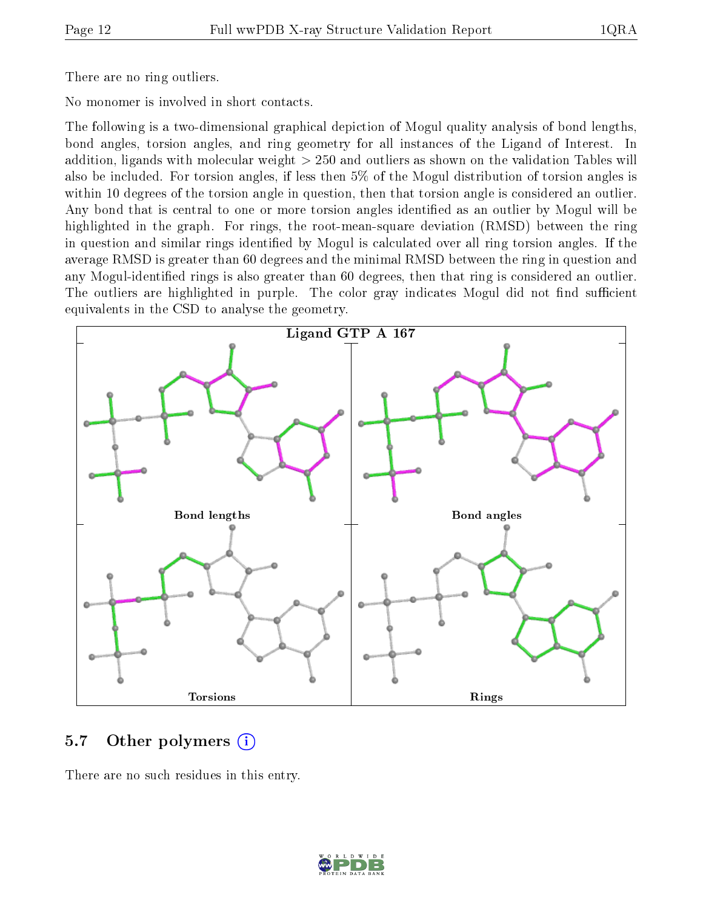There are no ring outliers.

No monomer is involved in short contacts.

The following is a two-dimensional graphical depiction of Mogul quality analysis of bond lengths, bond angles, torsion angles, and ring geometry for all instances of the Ligand of Interest. In addition, ligands with molecular weight > 250 and outliers as shown on the validation Tables will also be included. For torsion angles, if less then 5% of the Mogul distribution of torsion angles is within 10 degrees of the torsion angle in question, then that torsion angle is considered an outlier. Any bond that is central to one or more torsion angles identified as an outlier by Mogul will be highlighted in the graph. For rings, the root-mean-square deviation (RMSD) between the ring in question and similar rings identified by Mogul is calculated over all ring torsion angles. If the average RMSD is greater than 60 degrees and the minimal RMSD between the ring in question and any Mogul-identified rings is also greater than 60 degrees, then that ring is considered an outlier. The outliers are highlighted in purple. The color gray indicates Mogul did not find sufficient equivalents in the CSD to analyse the geometry.



### 5.7 [O](https://www.wwpdb.org/validation/2017/XrayValidationReportHelp#nonstandard_residues_and_ligands)ther polymers (i)

There are no such residues in this entry.

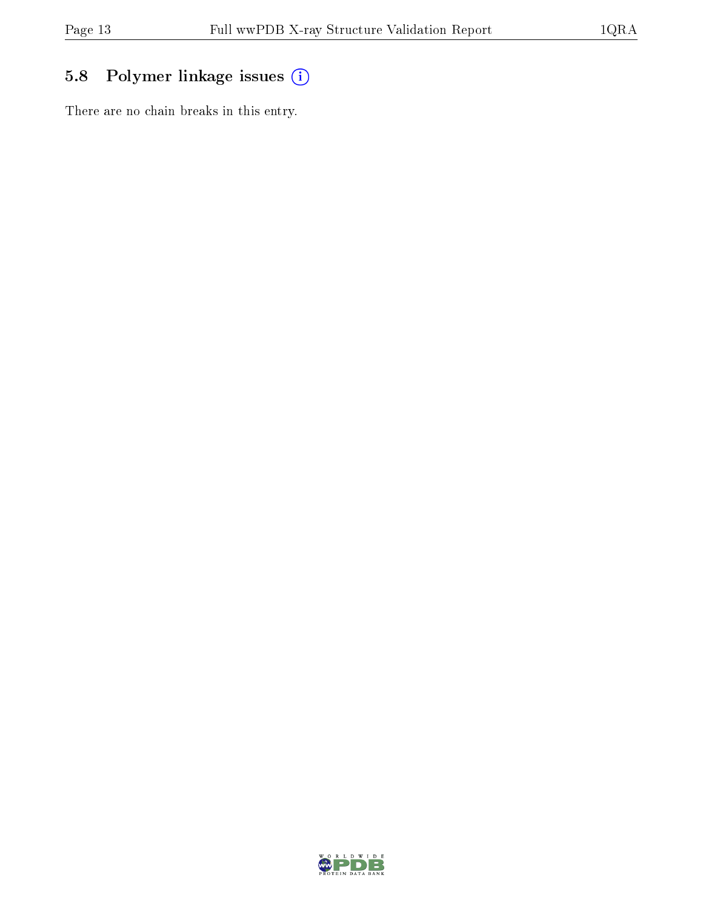## 5.8 Polymer linkage issues (i)

There are no chain breaks in this entry.

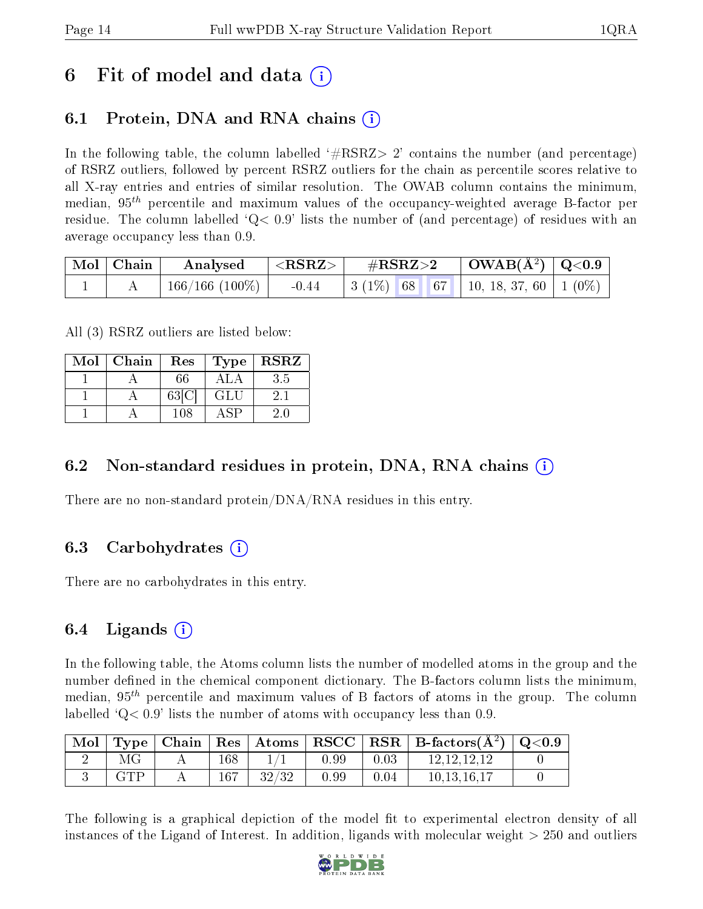# 6 Fit of model and data  $\left( \cdot \right)$

## 6.1 Protein, DNA and RNA chains (i)

In the following table, the column labelled  $#RSRZ> 2'$  contains the number (and percentage) of RSRZ outliers, followed by percent RSRZ outliers for the chain as percentile scores relative to all X-ray entries and entries of similar resolution. The OWAB column contains the minimum, median,  $95<sup>th</sup>$  percentile and maximum values of the occupancy-weighted average B-factor per residue. The column labelled  $Q < 0.9$  lists the number of (and percentage) of residues with an average occupancy less than 0.9.

| $\vert$ Mol $\vert$ Chain | Analysed       | ${ <\bf RSRZ> }$ | $\#\text{RSRZ}\text{>2}$                          | $\mid$ OWAB(Å <sup>2</sup> ) $\mid$ Q<0.9 |  |
|---------------------------|----------------|------------------|---------------------------------------------------|-------------------------------------------|--|
|                           | 166/166 (100%) | $-0.44$          | $\vert 3 \vert (1\%)$ 68 67 10, 18, 37, 60 1 (0%) |                                           |  |

All (3) RSRZ outliers are listed below:

| Mol | Chain | Res  | Type | <b>RSRZ</b> |
|-----|-------|------|------|-------------|
|     |       | 66   |      | 3.5         |
|     |       | 63 C | GLU  |             |
|     |       | 108  |      |             |

### 6.2 Non-standard residues in protein, DNA, RNA chains  $(i)$

There are no non-standard protein/DNA/RNA residues in this entry.

### 6.3 Carbohydrates (i)

There are no carbohydrates in this entry.

### 6.4 Ligands  $(i)$

In the following table, the Atoms column lists the number of modelled atoms in the group and the number defined in the chemical component dictionary. The B-factors column lists the minimum, median,  $95<sup>th</sup>$  percentile and maximum values of B factors of atoms in the group. The column labelled  $Q< 0.9$  lists the number of atoms with occupancy less than 0.9.

| Mol |     |         |       |      |      | $\langle$ Type   Chain   Res   Atoms   RSCC   RSR   B-factors( $\AA^2$ )   Q<0.9 |  |
|-----|-----|---------|-------|------|------|----------------------------------------------------------------------------------|--|
|     | МG  | $168\,$ |       | 0.99 | 0.03 | 12, 12, 12, 12                                                                   |  |
|     | GTP | 167     | 32/32 | 0.99 | 0.04 | 10.13.16.17                                                                      |  |

The following is a graphical depiction of the model fit to experimental electron density of all instances of the Ligand of Interest. In addition, ligands with molecular weight  $> 250$  and outliers